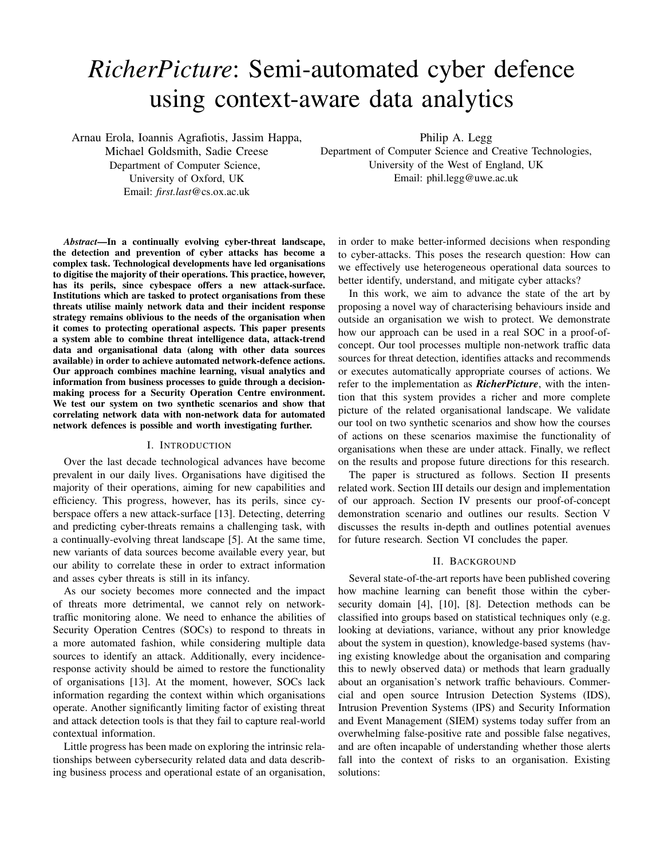# *RicherPicture*: Semi-automated cyber defence using context-aware data analytics

Arnau Erola, Ioannis Agrafiotis, Jassim Happa, Michael Goldsmith, Sadie Creese Department of Computer Science, University of Oxford, UK Email: *first.last*@cs.ox.ac.uk

Philip A. Legg

Department of Computer Science and Creative Technologies, University of the West of England, UK Email: phil.legg@uwe.ac.uk

*Abstract*—In a continually evolving cyber-threat landscape, the detection and prevention of cyber attacks has become a complex task. Technological developments have led organisations to digitise the majority of their operations. This practice, however, has its perils, since cybespace offers a new attack-surface. Institutions which are tasked to protect organisations from these threats utilise mainly network data and their incident response strategy remains oblivious to the needs of the organisation when it comes to protecting operational aspects. This paper presents a system able to combine threat intelligence data, attack-trend data and organisational data (along with other data sources available) in order to achieve automated network-defence actions. Our approach combines machine learning, visual analytics and information from business processes to guide through a decisionmaking process for a Security Operation Centre environment. We test our system on two synthetic scenarios and show that correlating network data with non-network data for automated network defences is possible and worth investigating further.

#### I. INTRODUCTION

Over the last decade technological advances have become prevalent in our daily lives. Organisations have digitised the majority of their operations, aiming for new capabilities and efficiency. This progress, however, has its perils, since cyberspace offers a new attack-surface [13]. Detecting, deterring and predicting cyber-threats remains a challenging task, with a continually-evolving threat landscape [5]. At the same time, new variants of data sources become available every year, but our ability to correlate these in order to extract information and asses cyber threats is still in its infancy.

As our society becomes more connected and the impact of threats more detrimental, we cannot rely on networktraffic monitoring alone. We need to enhance the abilities of Security Operation Centres (SOCs) to respond to threats in a more automated fashion, while considering multiple data sources to identify an attack. Additionally, every incidenceresponse activity should be aimed to restore the functionality of organisations [13]. At the moment, however, SOCs lack information regarding the context within which organisations operate. Another significantly limiting factor of existing threat and attack detection tools is that they fail to capture real-world contextual information.

Little progress has been made on exploring the intrinsic relationships between cybersecurity related data and data describing business process and operational estate of an organisation, in order to make better-informed decisions when responding to cyber-attacks. This poses the research question: How can we effectively use heterogeneous operational data sources to better identify, understand, and mitigate cyber attacks?

In this work, we aim to advance the state of the art by proposing a novel way of characterising behaviours inside and outside an organisation we wish to protect. We demonstrate how our approach can be used in a real SOC in a proof-ofconcept. Our tool processes multiple non-network traffic data sources for threat detection, identifies attacks and recommends or executes automatically appropriate courses of actions. We refer to the implementation as *RicherPicture*, with the intention that this system provides a richer and more complete picture of the related organisational landscape. We validate our tool on two synthetic scenarios and show how the courses of actions on these scenarios maximise the functionality of organisations when these are under attack. Finally, we reflect on the results and propose future directions for this research.

The paper is structured as follows. Section II presents related work. Section III details our design and implementation of our approach. Section IV presents our proof-of-concept demonstration scenario and outlines our results. Section V discusses the results in-depth and outlines potential avenues for future research. Section VI concludes the paper.

## II. BACKGROUND

Several state-of-the-art reports have been published covering how machine learning can benefit those within the cybersecurity domain [4], [10], [8]. Detection methods can be classified into groups based on statistical techniques only (e.g. looking at deviations, variance, without any prior knowledge about the system in question), knowledge-based systems (having existing knowledge about the organisation and comparing this to newly observed data) or methods that learn gradually about an organisation's network traffic behaviours. Commercial and open source Intrusion Detection Systems (IDS), Intrusion Prevention Systems (IPS) and Security Information and Event Management (SIEM) systems today suffer from an overwhelming false-positive rate and possible false negatives, and are often incapable of understanding whether those alerts fall into the context of risks to an organisation. Existing solutions: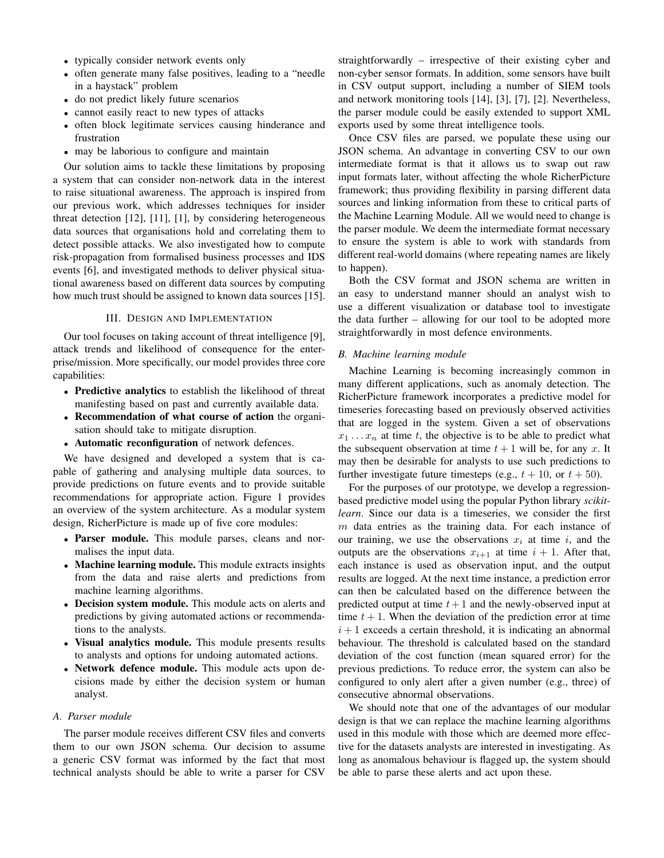- typically consider network events only
- often generate many false positives, leading to a "needle in a haystack" problem
- do not predict likely future scenarios
- cannot easily react to new types of attacks
- often block legitimate services causing hinderance and frustration
- may be laborious to configure and maintain

Our solution aims to tackle these limitations by proposing a system that can consider non-network data in the interest to raise situational awareness. The approach is inspired from our previous work, which addresses techniques for insider threat detection [12], [11], [1], by considering heterogeneous data sources that organisations hold and correlating them to detect possible attacks. We also investigated how to compute risk-propagation from formalised business processes and IDS events [6], and investigated methods to deliver physical situational awareness based on different data sources by computing how much trust should be assigned to known data sources [15].

### III. DESIGN AND IMPLEMENTATION

Our tool focuses on taking account of threat intelligence [9], attack trends and likelihood of consequence for the enterprise/mission. More specifically, our model provides three core capabilities:

- Predictive analytics to establish the likelihood of threat manifesting based on past and currently available data.
- Recommendation of what course of action the organisation should take to mitigate disruption.
- Automatic reconfiguration of network defences.

We have designed and developed a system that is capable of gathering and analysing multiple data sources, to provide predictions on future events and to provide suitable recommendations for appropriate action. Figure 1 provides an overview of the system architecture. As a modular system design, RicherPicture is made up of five core modules:

- Parser module. This module parses, cleans and normalises the input data.
- Machine learning module. This module extracts insights from the data and raise alerts and predictions from machine learning algorithms.
- Decision system module. This module acts on alerts and predictions by giving automated actions or recommendations to the analysts.
- Visual analytics module. This module presents results to analysts and options for undoing automated actions.
- Network defence module. This module acts upon decisions made by either the decision system or human analyst.

# *A. Parser module*

The parser module receives different CSV files and converts them to our own JSON schema. Our decision to assume a generic CSV format was informed by the fact that most technical analysts should be able to write a parser for CSV straightforwardly – irrespective of their existing cyber and non-cyber sensor formats. In addition, some sensors have built in CSV output support, including a number of SIEM tools and network monitoring tools [14], [3], [7], [2]. Nevertheless, the parser module could be easily extended to support XML exports used by some threat intelligence tools.

Once CSV files are parsed, we populate these using our JSON schema. An advantage in converting CSV to our own intermediate format is that it allows us to swap out raw input formats later, without affecting the whole RicherPicture framework; thus providing flexibility in parsing different data sources and linking information from these to critical parts of the Machine Learning Module. All we would need to change is the parser module. We deem the intermediate format necessary to ensure the system is able to work with standards from different real-world domains (where repeating names are likely to happen).

Both the CSV format and JSON schema are written in an easy to understand manner should an analyst wish to use a different visualization or database tool to investigate the data further – allowing for our tool to be adopted more straightforwardly in most defence environments.

#### *B. Machine learning module*

Machine Learning is becoming increasingly common in many different applications, such as anomaly detection. The RicherPicture framework incorporates a predictive model for timeseries forecasting based on previously observed activities that are logged in the system. Given a set of observations  $x_1 \ldots x_n$  at time t, the objective is to be able to predict what the subsequent observation at time  $t + 1$  will be, for any x. It may then be desirable for analysts to use such predictions to further investigate future timesteps (e.g.,  $t + 10$ , or  $t + 50$ ).

For the purposes of our prototype, we develop a regressionbased predictive model using the popular Python library *scikitlearn*. Since our data is a timeseries, we consider the first  $m$  data entries as the training data. For each instance of our training, we use the observations  $x_i$  at time i, and the outputs are the observations  $x_{i+1}$  at time  $i + 1$ . After that, each instance is used as observation input, and the output results are logged. At the next time instance, a prediction error can then be calculated based on the difference between the predicted output at time  $t+1$  and the newly-observed input at time  $t + 1$ . When the deviation of the prediction error at time  $i+1$  exceeds a certain threshold, it is indicating an abnormal behaviour. The threshold is calculated based on the standard deviation of the cost function (mean squared error) for the previous predictions. To reduce error, the system can also be configured to only alert after a given number (e.g., three) of consecutive abnormal observations.

We should note that one of the advantages of our modular design is that we can replace the machine learning algorithms used in this module with those which are deemed more effective for the datasets analysts are interested in investigating. As long as anomalous behaviour is flagged up, the system should be able to parse these alerts and act upon these.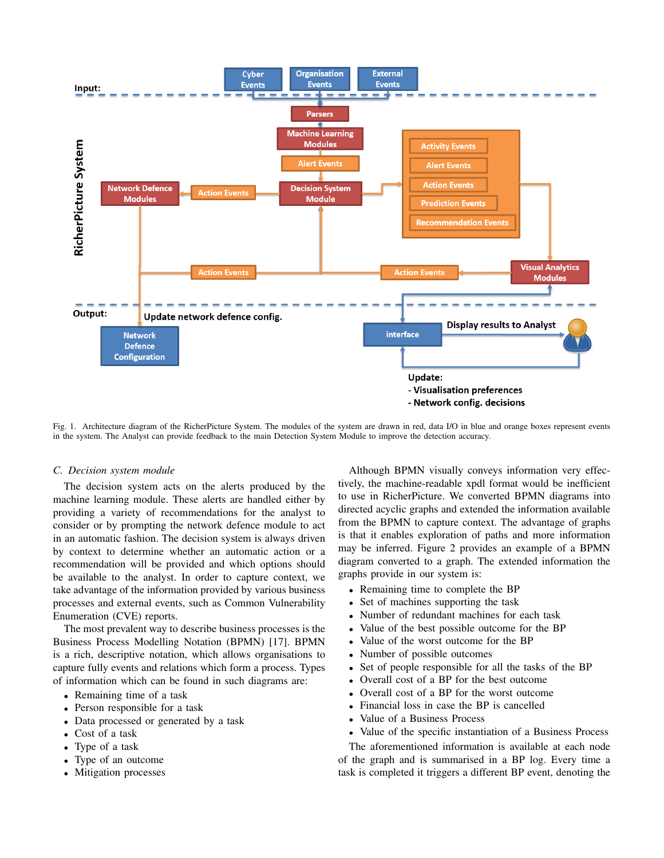

Fig. 1. Architecture diagram of the RicherPicture System. The modules of the system are drawn in red, data I/O in blue and orange boxes represent events in the system. The Analyst can provide feedback to the main Detection System Module to improve the detection accuracy.

## *C. Decision system module*

The decision system acts on the alerts produced by the machine learning module. These alerts are handled either by providing a variety of recommendations for the analyst to consider or by prompting the network defence module to act in an automatic fashion. The decision system is always driven by context to determine whether an automatic action or a recommendation will be provided and which options should be available to the analyst. In order to capture context, we take advantage of the information provided by various business processes and external events, such as Common Vulnerability Enumeration (CVE) reports.

The most prevalent way to describe business processes is the Business Process Modelling Notation (BPMN) [17]. BPMN is a rich, descriptive notation, which allows organisations to capture fully events and relations which form a process. Types of information which can be found in such diagrams are:

- Remaining time of a task
- Person responsible for a task
- Data processed or generated by a task
- Cost of a task
- Type of a task
- Type of an outcome
- Mitigation processes

Although BPMN visually conveys information very effectively, the machine-readable xpdl format would be inefficient to use in RicherPicture. We converted BPMN diagrams into directed acyclic graphs and extended the information available from the BPMN to capture context. The advantage of graphs is that it enables exploration of paths and more information may be inferred. Figure 2 provides an example of a BPMN diagram converted to a graph. The extended information the graphs provide in our system is:

- Remaining time to complete the BP
- Set of machines supporting the task
- Number of redundant machines for each task
- Value of the best possible outcome for the BP
- Value of the worst outcome for the BP
- Number of possible outcomes
- Set of people responsible for all the tasks of the BP
- Overall cost of a BP for the best outcome
- Overall cost of a BP for the worst outcome
- Financial loss in case the BP is cancelled
- Value of a Business Process
- Value of the specific instantiation of a Business Process

The aforementioned information is available at each node of the graph and is summarised in a BP log. Every time a task is completed it triggers a different BP event, denoting the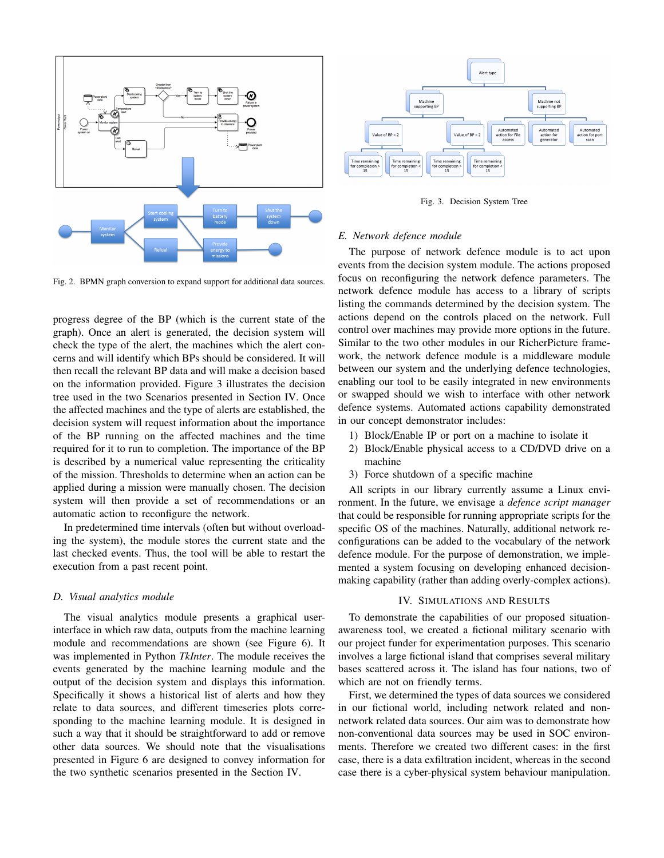

Fig. 2. BPMN graph conversion to expand support for additional data sources.

progress degree of the BP (which is the current state of the graph). Once an alert is generated, the decision system will check the type of the alert, the machines which the alert concerns and will identify which BPs should be considered. It will then recall the relevant BP data and will make a decision based on the information provided. Figure 3 illustrates the decision tree used in the two Scenarios presented in Section IV. Once the affected machines and the type of alerts are established, the decision system will request information about the importance of the BP running on the affected machines and the time required for it to run to completion. The importance of the BP is described by a numerical value representing the criticality of the mission. Thresholds to determine when an action can be applied during a mission were manually chosen. The decision system will then provide a set of recommendations or an automatic action to reconfigure the network.

In predetermined time intervals (often but without overloading the system), the module stores the current state and the last checked events. Thus, the tool will be able to restart the execution from a past recent point.

#### *D. Visual analytics module*

The visual analytics module presents a graphical userinterface in which raw data, outputs from the machine learning module and recommendations are shown (see Figure 6). It was implemented in Python *TkInter*. The module receives the events generated by the machine learning module and the output of the decision system and displays this information. Specifically it shows a historical list of alerts and how they relate to data sources, and different timeseries plots corresponding to the machine learning module. It is designed in such a way that it should be straightforward to add or remove other data sources. We should note that the visualisations presented in Figure 6 are designed to convey information for the two synthetic scenarios presented in the Section IV.



Fig. 3. Decision System Tree

## *E. Network defence module*

The purpose of network defence module is to act upon events from the decision system module. The actions proposed focus on reconfiguring the network defence parameters. The network defence module has access to a library of scripts listing the commands determined by the decision system. The actions depend on the controls placed on the network. Full control over machines may provide more options in the future. Similar to the two other modules in our RicherPicture framework, the network defence module is a middleware module between our system and the underlying defence technologies, enabling our tool to be easily integrated in new environments or swapped should we wish to interface with other network defence systems. Automated actions capability demonstrated in our concept demonstrator includes:

- 1) Block/Enable IP or port on a machine to isolate it
- 2) Block/Enable physical access to a CD/DVD drive on a machine
- 3) Force shutdown of a specific machine

All scripts in our library currently assume a Linux environment. In the future, we envisage a *defence script manager* that could be responsible for running appropriate scripts for the specific OS of the machines. Naturally, additional network reconfigurations can be added to the vocabulary of the network defence module. For the purpose of demonstration, we implemented a system focusing on developing enhanced decisionmaking capability (rather than adding overly-complex actions).

## IV. SIMULATIONS AND RESULTS

To demonstrate the capabilities of our proposed situationawareness tool, we created a fictional military scenario with our project funder for experimentation purposes. This scenario involves a large fictional island that comprises several military bases scattered across it. The island has four nations, two of which are not on friendly terms.

First, we determined the types of data sources we considered in our fictional world, including network related and nonnetwork related data sources. Our aim was to demonstrate how non-conventional data sources may be used in SOC environments. Therefore we created two different cases: in the first case, there is a data exfiltration incident, whereas in the second case there is a cyber-physical system behaviour manipulation.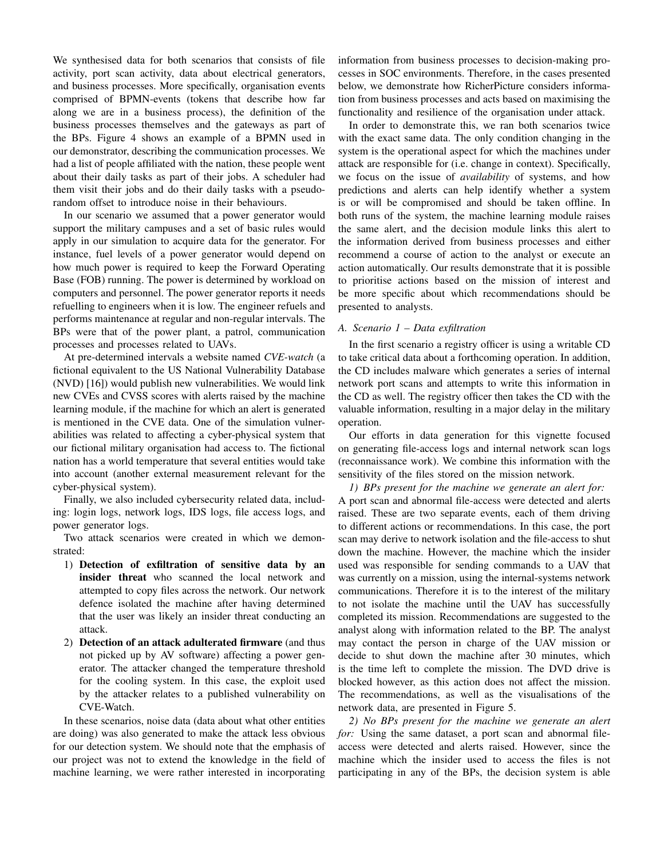We synthesised data for both scenarios that consists of file activity, port scan activity, data about electrical generators, and business processes. More specifically, organisation events comprised of BPMN-events (tokens that describe how far along we are in a business process), the definition of the business processes themselves and the gateways as part of the BPs. Figure 4 shows an example of a BPMN used in our demonstrator, describing the communication processes. We had a list of people affiliated with the nation, these people went about their daily tasks as part of their jobs. A scheduler had them visit their jobs and do their daily tasks with a pseudorandom offset to introduce noise in their behaviours.

In our scenario we assumed that a power generator would support the military campuses and a set of basic rules would apply in our simulation to acquire data for the generator. For instance, fuel levels of a power generator would depend on how much power is required to keep the Forward Operating Base (FOB) running. The power is determined by workload on computers and personnel. The power generator reports it needs refuelling to engineers when it is low. The engineer refuels and performs maintenance at regular and non-regular intervals. The BPs were that of the power plant, a patrol, communication processes and processes related to UAVs.

At pre-determined intervals a website named *CVE-watch* (a fictional equivalent to the US National Vulnerability Database (NVD) [16]) would publish new vulnerabilities. We would link new CVEs and CVSS scores with alerts raised by the machine learning module, if the machine for which an alert is generated is mentioned in the CVE data. One of the simulation vulnerabilities was related to affecting a cyber-physical system that our fictional military organisation had access to. The fictional nation has a world temperature that several entities would take into account (another external measurement relevant for the cyber-physical system).

Finally, we also included cybersecurity related data, including: login logs, network logs, IDS logs, file access logs, and power generator logs.

Two attack scenarios were created in which we demonstrated:

- 1) Detection of exfiltration of sensitive data by an insider threat who scanned the local network and attempted to copy files across the network. Our network defence isolated the machine after having determined that the user was likely an insider threat conducting an attack.
- 2) Detection of an attack adulterated firmware (and thus not picked up by AV software) affecting a power generator. The attacker changed the temperature threshold for the cooling system. In this case, the exploit used by the attacker relates to a published vulnerability on CVE-Watch.

In these scenarios, noise data (data about what other entities are doing) was also generated to make the attack less obvious for our detection system. We should note that the emphasis of our project was not to extend the knowledge in the field of machine learning, we were rather interested in incorporating information from business processes to decision-making processes in SOC environments. Therefore, in the cases presented below, we demonstrate how RicherPicture considers information from business processes and acts based on maximising the functionality and resilience of the organisation under attack.

In order to demonstrate this, we ran both scenarios twice with the exact same data. The only condition changing in the system is the operational aspect for which the machines under attack are responsible for (i.e. change in context). Specifically, we focus on the issue of *availability* of systems, and how predictions and alerts can help identify whether a system is or will be compromised and should be taken offline. In both runs of the system, the machine learning module raises the same alert, and the decision module links this alert to the information derived from business processes and either recommend a course of action to the analyst or execute an action automatically. Our results demonstrate that it is possible to prioritise actions based on the mission of interest and be more specific about which recommendations should be presented to analysts.

# *A. Scenario 1 – Data exfiltration*

In the first scenario a registry officer is using a writable CD to take critical data about a forthcoming operation. In addition, the CD includes malware which generates a series of internal network port scans and attempts to write this information in the CD as well. The registry officer then takes the CD with the valuable information, resulting in a major delay in the military operation.

Our efforts in data generation for this vignette focused on generating file-access logs and internal network scan logs (reconnaissance work). We combine this information with the sensitivity of the files stored on the mission network.

*1) BPs present for the machine we generate an alert for:* A port scan and abnormal file-access were detected and alerts raised. These are two separate events, each of them driving to different actions or recommendations. In this case, the port scan may derive to network isolation and the file-access to shut down the machine. However, the machine which the insider used was responsible for sending commands to a UAV that was currently on a mission, using the internal-systems network communications. Therefore it is to the interest of the military to not isolate the machine until the UAV has successfully completed its mission. Recommendations are suggested to the analyst along with information related to the BP. The analyst may contact the person in charge of the UAV mission or decide to shut down the machine after 30 minutes, which is the time left to complete the mission. The DVD drive is blocked however, as this action does not affect the mission. The recommendations, as well as the visualisations of the network data, are presented in Figure 5.

*2) No BPs present for the machine we generate an alert for:* Using the same dataset, a port scan and abnormal fileaccess were detected and alerts raised. However, since the machine which the insider used to access the files is not participating in any of the BPs, the decision system is able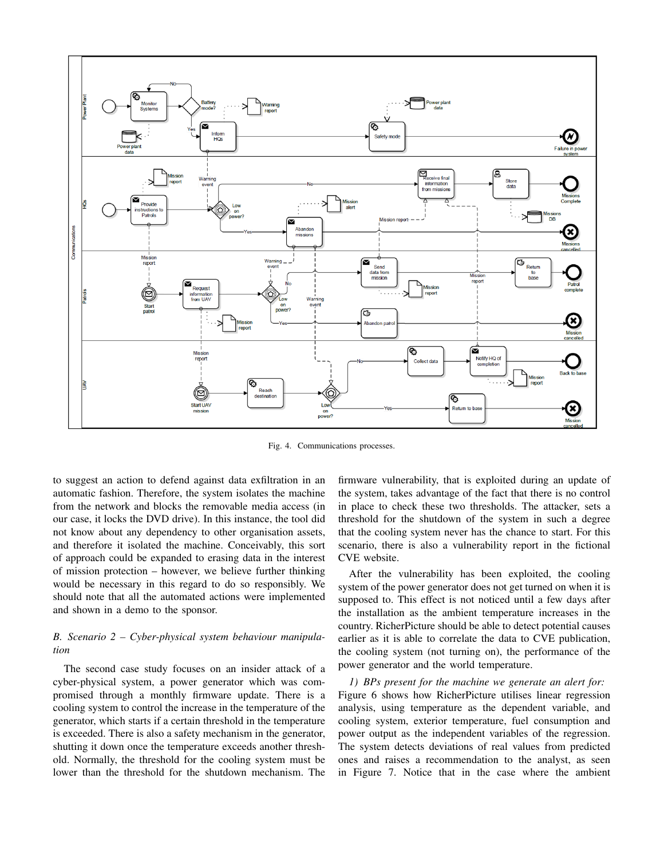

Fig. 4. Communications processes.

to suggest an action to defend against data exfiltration in an automatic fashion. Therefore, the system isolates the machine from the network and blocks the removable media access (in our case, it locks the DVD drive). In this instance, the tool did not know about any dependency to other organisation assets, and therefore it isolated the machine. Conceivably, this sort of approach could be expanded to erasing data in the interest of mission protection – however, we believe further thinking would be necessary in this regard to do so responsibly. We should note that all the automated actions were implemented and shown in a demo to the sponsor.

# *B. Scenario 2 – Cyber-physical system behaviour manipulation*

The second case study focuses on an insider attack of a cyber-physical system, a power generator which was compromised through a monthly firmware update. There is a cooling system to control the increase in the temperature of the generator, which starts if a certain threshold in the temperature is exceeded. There is also a safety mechanism in the generator, shutting it down once the temperature exceeds another threshold. Normally, the threshold for the cooling system must be lower than the threshold for the shutdown mechanism. The

firmware vulnerability, that is exploited during an update of the system, takes advantage of the fact that there is no control in place to check these two thresholds. The attacker, sets a threshold for the shutdown of the system in such a degree that the cooling system never has the chance to start. For this scenario, there is also a vulnerability report in the fictional CVE website.

After the vulnerability has been exploited, the cooling system of the power generator does not get turned on when it is supposed to. This effect is not noticed until a few days after the installation as the ambient temperature increases in the country. RicherPicture should be able to detect potential causes earlier as it is able to correlate the data to CVE publication, the cooling system (not turning on), the performance of the power generator and the world temperature.

*1) BPs present for the machine we generate an alert for:* Figure 6 shows how RicherPicture utilises linear regression analysis, using temperature as the dependent variable, and cooling system, exterior temperature, fuel consumption and power output as the independent variables of the regression. The system detects deviations of real values from predicted ones and raises a recommendation to the analyst, as seen in Figure 7. Notice that in the case where the ambient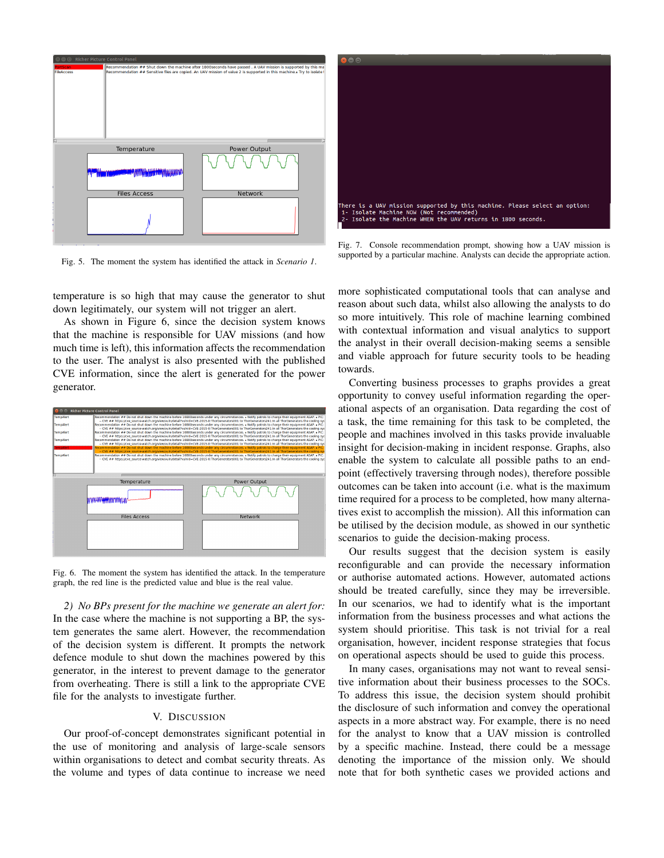

Fig. 5. The moment the system has identified the attack in *Scenario 1*.

temperature is so high that may cause the generator to shut down legitimately, our system will not trigger an alert.

As shown in Figure 6, since the decision system knows that the machine is responsible for UAV missions (and how much time is left), this information affects the recommendation to the user. The analyst is also presented with the published CVE information, since the alert is generated for the power generator.



Fig. 6. The moment the system has identified the attack. In the temperature graph, the red line is the predicted value and blue is the real value.

*2) No BPs present for the machine we generate an alert for:* In the case where the machine is not supporting a BP, the system generates the same alert. However, the recommendation of the decision system is different. It prompts the network defence module to shut down the machines powered by this generator, in the interest to prevent damage to the generator from overheating. There is still a link to the appropriate CVE file for the analysts to investigate further.

# V. DISCUSSION

Our proof-of-concept demonstrates significant potential in the use of monitoring and analysis of large-scale sensors within organisations to detect and combat security threats. As the volume and types of data continue to increase we need



Fig. 7. Console recommendation prompt, showing how a UAV mission is supported by a particular machine. Analysts can decide the appropriate action.

more sophisticated computational tools that can analyse and reason about such data, whilst also allowing the analysts to do so more intuitively. This role of machine learning combined with contextual information and visual analytics to support the analyst in their overall decision-making seems a sensible and viable approach for future security tools to be heading towards.

Converting business processes to graphs provides a great opportunity to convey useful information regarding the operational aspects of an organisation. Data regarding the cost of a task, the time remaining for this task to be completed, the people and machines involved in this tasks provide invaluable insight for decision-making in incident response. Graphs, also enable the system to calculate all possible paths to an endpoint (effectively traversing through nodes), therefore possible outcomes can be taken into account (i.e. what is the maximum time required for a process to be completed, how many alternatives exist to accomplish the mission). All this information can be utilised by the decision module, as showed in our synthetic scenarios to guide the decision-making process.

Our results suggest that the decision system is easily reconfigurable and can provide the necessary information or authorise automated actions. However, automated actions should be treated carefully, since they may be irreversible. In our scenarios, we had to identify what is the important information from the business processes and what actions the system should prioritise. This task is not trivial for a real organisation, however, incident response strategies that focus on operational aspects should be used to guide this process.

In many cases, organisations may not want to reveal sensitive information about their business processes to the SOCs. To address this issue, the decision system should prohibit the disclosure of such information and convey the operational aspects in a more abstract way. For example, there is no need for the analyst to know that a UAV mission is controlled by a specific machine. Instead, there could be a message denoting the importance of the mission only. We should note that for both synthetic cases we provided actions and